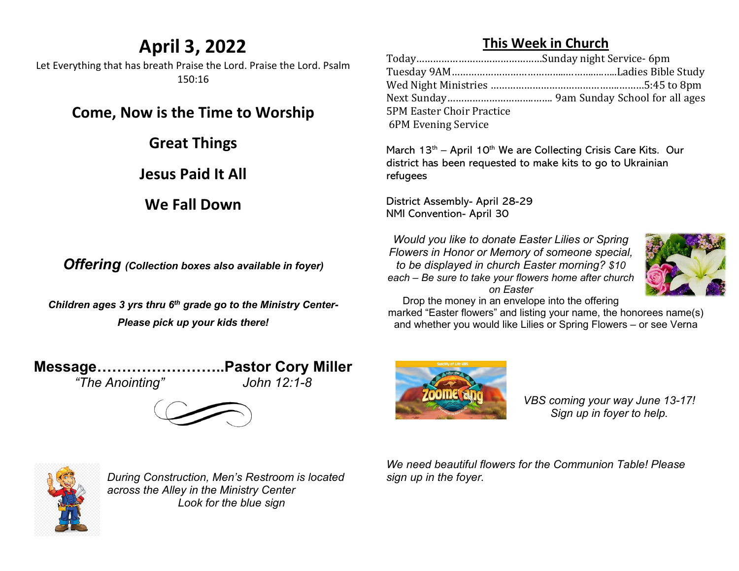## **April 3, 2022**

Let Everything that has breath Praise the Lord. Praise the Lord. Psalm 150:16

**Come, Now is the Time to Worship**

**Great Things**

**Jesus Paid It All**

**We Fall Down**

*Offering (Collection boxes also available in foyer)*

*Children ages 3 yrs thru 6th grade go to the Ministry Center-Please pick up your kids there!*

**Message……………………..Pastor Cory Miller**

*"The Anointing" John 12:1-8*





| <b>5PM Easter Choir Practice</b> |  |
|----------------------------------|--|
| 6PM Evening Service              |  |
|                                  |  |

March  $13<sup>th</sup>$  – April  $10<sup>th</sup>$  We are Collecting Crisis Care Kits. Our district has been requested to make kits to go to Ukrainian refugees

District Assembly- April 28-29 NMI Convention- April 30

*Would you like to donate Easter Lilies or Spring Flowers in Honor or Memory of someone special, to be displayed in church Easter morning? \$10 each – Be sure to take your flowers home after church on Easter*



Drop the money in an envelope into the offering

marked "Easter flowers" and listing your name, the honorees name(s) and whether you would like Lilies or Spring Flowers – or see Verna



*VBS coming your way June 13-17! Sign up in foyer to help.* 



*During Construction, Men's Restroom is located across the Alley in the Ministry Center Look for the blue sign*

*We need beautiful flowers for the Communion Table! Please sign up in the foyer.*